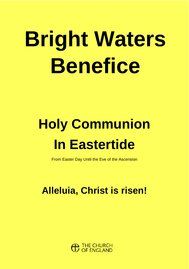# **Bright Waters Benefice**

## **Holy Communion In Eastertide**

From Easter Day Until the Eve of the Ascension

### **Alleluia, Christ is risen!**

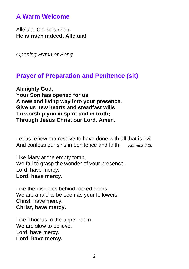#### **A Warm Welcome**

Alleluia. Christ is risen. **He is risen indeed. Alleluia!** 

*Opening Hymn or Song*

#### **Prayer of Preparation and Penitence (sit)**

**Almighty God, Your Son has opened for us A new and living way into your presence. Give us new hearts and steadfast wills To worship you in spirit and in truth; Through Jesus Christ our Lord. Amen.**

Let us renew our resolve to have done with all that is evil And confess our sins in penitence and faith. *Romans 6.10*

Like Mary at the empty tomb, We fail to grasp the wonder of your presence. Lord, have mercy. **Lord, have mercy.**

Like the disciples behind locked doors, We are afraid to be seen as your followers. Christ, have mercy. **Christ, have mercy.**

Like Thomas in the upper room, We are slow to believe. Lord, have mercy. **Lord, have mercy.**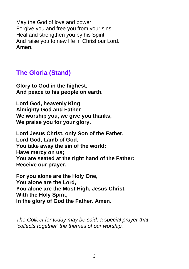May the God of love and power Forgive you and free you from your sins, Heal and strengthen you by his Spirit, And raise you to new life in Christ our Lord. **Amen.**

#### **The Gloria (Stand)**

**Glory to God in the highest, And peace to his people on earth.**

**Lord God, heavenly King Almighty God and Father We worship you, we give you thanks, We praise you for your glory.** 

**Lord Jesus Christ, only Son of the Father, Lord God, Lamb of God, You take away the sin of the world: Have mercy on us; You are seated at the right hand of the Father: Receive our prayer.**

**For you alone are the Holy One, You alone are the Lord, You alone are the Most High, Jesus Christ, With the Holy Spirit, In the glory of God the Father. Amen.**

*The Collect for today may be said, a special prayer that 'collects together' the themes of our worship.*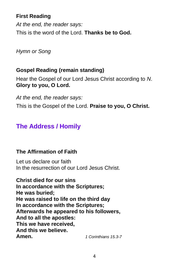#### **First Reading**

*At the end, the reader says:* This is the word of the Lord. **Thanks be to God.**

*Hymn or Song*

#### **Gospel Reading (remain standing)**

Hear the Gospel of our Lord Jesus Christ according to *N*. **Glory to you, O Lord.**

*At the end, the reader says:* This is the Gospel of the Lord. **Praise to you, O Christ.**

#### **The Address / Homily**

#### **The Affirmation of Faith**

Let us declare our faith In the resurrection of our Lord Jesus Christ.

**Christ died for our sins In accordance with the Scriptures; He was buried; He was raised to life on the third day In accordance with the Scriptures; Afterwards he appeared to his followers, And to all the apostles: This we have received, And this we believe. Amen.** *1 Corinthians 15.3-7*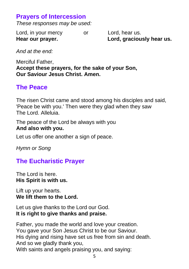#### **Prayers of Intercession**

*These responses may be used:*

Lord, in your mercy or Lord, hear us. **Hear our prayer. Lord, graciously hear us.**

*And at the end:*

Merciful Father, **Accept these prayers, for the sake of your Son, Our Saviour Jesus Christ. Amen.**

#### **The Peace**

The risen Christ came and stood among his disciples and said, 'Peace be with you.' Then were they glad when they saw The Lord. Alleluia.

The peace of the Lord be always with you **And also with you.** 

Let us offer one another a sign of peace.

*Hymn or Song*

#### **The Eucharistic Prayer**

The Lord is here. **His Spirit is with us.** 

Lift up your hearts. **We lift them to the Lord.** 

Let us give thanks to the Lord our God. **It is right to give thanks and praise.** 

Father, you made the world and love your creation. You gave your Son Jesus Christ to be our Saviour. His dying and rising have set us free from sin and death. And so we gladly thank you, With saints and angels praising you, and saying: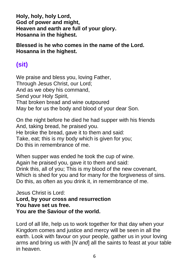**Holy, holy, holy Lord, God of power and might, Heaven and earth are full of your glory. Hosanna in the highest.**

**Blessed is he who comes in the name of the Lord. Hosanna in the highest.**

#### **(sit)**

We praise and bless you, loving Father, Through Jesus Christ, our Lord; And as we obey his command, Send your Holy Spirit, That broken bread and wine outpoured May be for us the body and blood of your dear Son.

On the night before he died he had supper with his friends And, taking bread, he praised you. He broke the bread, gave it to them and said: Take, eat; this is my body which is given for you; Do this in remembrance of me.

When supper was ended he took the cup of wine. Again he praised you, gave it to them and said: Drink this, all of you; This is my blood of the new covenant, Which is shed for you and for many for the forgiveness of sins. Do this, as often as you drink it, in remembrance of me.

Jesus Christ is Lord: **Lord, by your cross and resurrection You have set us free. You are the Saviour of the world.**

Lord of all life, help us to work together for that day when your Kingdom comes and justice and mercy will be seen in all the earth. Look with favour on your people, gather us in your loving arms and bring us with [*N and*] all the saints to feast at your table in heaven.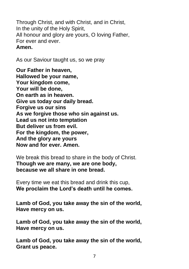Through Christ, and with Christ, and in Christ, In the unity of the Holy Spirit, All honour and glory are yours, O loving Father, For ever and ever. **Amen.**

As our Saviour taught us, so we pray

**Our Father in heaven, Hallowed be your name, Your kingdom come, Your will be done, On earth as in heaven. Give us today our daily bread. Forgive us our sins As we forgive those who sin against us. Lead us not into temptation But deliver us from evil. For the kingdom, the power, And the glory are yours Now and for ever. Amen.**

We break this bread to share in the body of Christ. **Though we are many, we are one body, because we all share in one bread.**

Every time we eat this bread and drink this cup, **We proclaim the Lord's death until he comes.**

**Lamb of God, you take away the sin of the world, Have mercy on us.**

**Lamb of God, you take away the sin of the world, Have mercy on us.**

**Lamb of God, you take away the sin of the world, Grant us peace.**